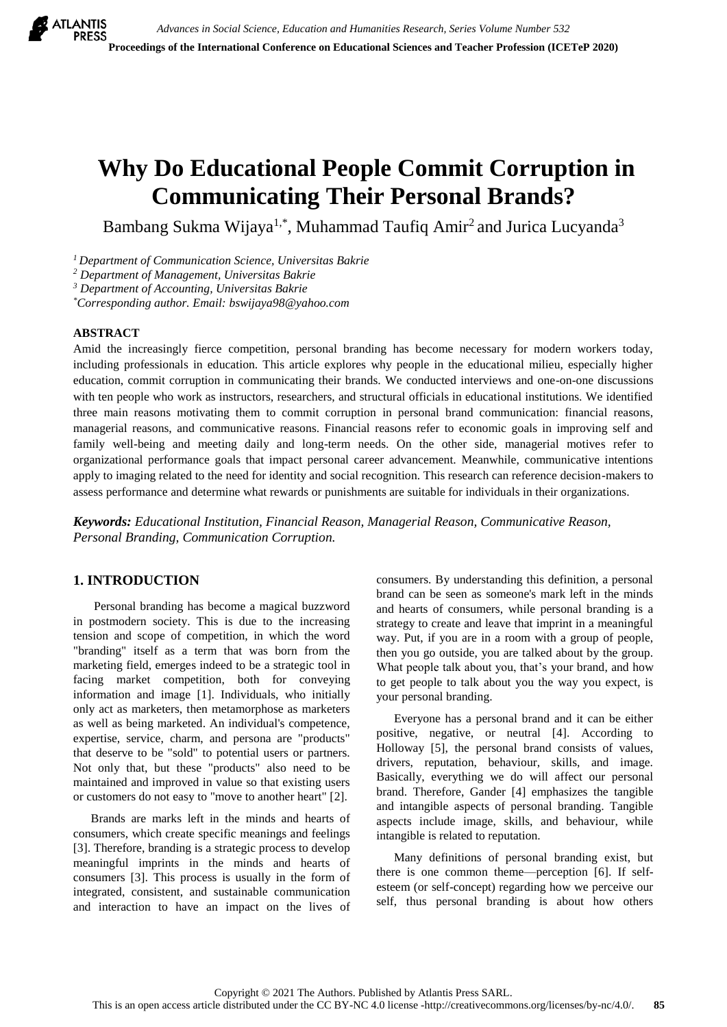# **Why Do Educational People Commit Corruption in Communicating Their Personal Brands?**

Bambang Sukma Wijaya<sup>1,\*</sup>, Muhammad Taufiq Amir<sup>2</sup> and Jurica Lucyanda<sup>3</sup>

*<sup>1</sup>Department of Communication Science, Universitas Bakrie*

*<sup>2</sup> Department of Management, Universitas Bakrie*

*<sup>3</sup> Department of Accounting, Universitas Bakrie*

*\*Corresponding author. Email[: bswijaya98@yahoo.com](mailto:bswijaya98@yahoo.com)*

## **ABSTRACT**

Amid the increasingly fierce competition, personal branding has become necessary for modern workers today, including professionals in education. This article explores why people in the educational milieu, especially higher education, commit corruption in communicating their brands. We conducted interviews and one-on-one discussions with ten people who work as instructors, researchers, and structural officials in educational institutions. We identified three main reasons motivating them to commit corruption in personal brand communication: financial reasons, managerial reasons, and communicative reasons. Financial reasons refer to economic goals in improving self and family well-being and meeting daily and long-term needs. On the other side, managerial motives refer to organizational performance goals that impact personal career advancement. Meanwhile, communicative intentions apply to imaging related to the need for identity and social recognition. This research can reference decision-makers to assess performance and determine what rewards or punishments are suitable for individuals in their organizations.

*Keywords: Educational Institution, Financial Reason, Managerial Reason, Communicative Reason, Personal Branding, Communication Corruption.*

## **1. INTRODUCTION**

Personal branding has become a magical buzzword in postmodern society. This is due to the increasing tension and scope of competition, in which the word "branding" itself as a term that was born from the marketing field, emerges indeed to be a strategic tool in facing market competition, both for conveying information and image [\[1\]](#page-4-0). Individuals, who initially only act as marketers, then metamorphose as marketers as well as being marketed. An individual's competence, expertise, service, charm, and persona are "products" that deserve to be "sold" to potential users or partners. Not only that, but these "products" also need to be maintained and improved in value so that existing users or customers do not easy to "move to another heart" [\[2\]](#page-4-1).

Brands are marks left in the minds and hearts of consumers, which create specific meanings and feelings [\[3\]](#page-4-2). Therefore, branding is a strategic process to develop meaningful imprints in the minds and hearts of consumers [\[3\]](#page-4-2). This process is usually in the form of integrated, consistent, and sustainable communication and interaction to have an impact on the lives of consumers. By understanding this definition, a personal brand can be seen as someone's mark left in the minds and hearts of consumers, while personal branding is a strategy to create and leave that imprint in a meaningful way. Put, if you are in a room with a group of people, then you go outside, you are talked about by the group. What people talk about you, that's your brand, and how to get people to talk about you the way you expect, is your personal branding.

Everyone has a personal brand and it can be either positive, negative, or neutral [\[4\]](#page-4-3). According to Holloway [\[5\]](#page-4-4), the personal brand consists of values, drivers, reputation, behaviour, skills, and image. Basically, everything we do will affect our personal brand. Therefore, Gander [\[4\]](#page-4-3) emphasizes the tangible and intangible aspects of personal branding. Tangible aspects include image, skills, and behaviour, while intangible is related to reputation.

Many definitions of personal branding exist, but there is one common theme—perception [\[6\]](#page-4-5). If selfesteem (or self-concept) regarding how we perceive our self, thus personal branding is about how others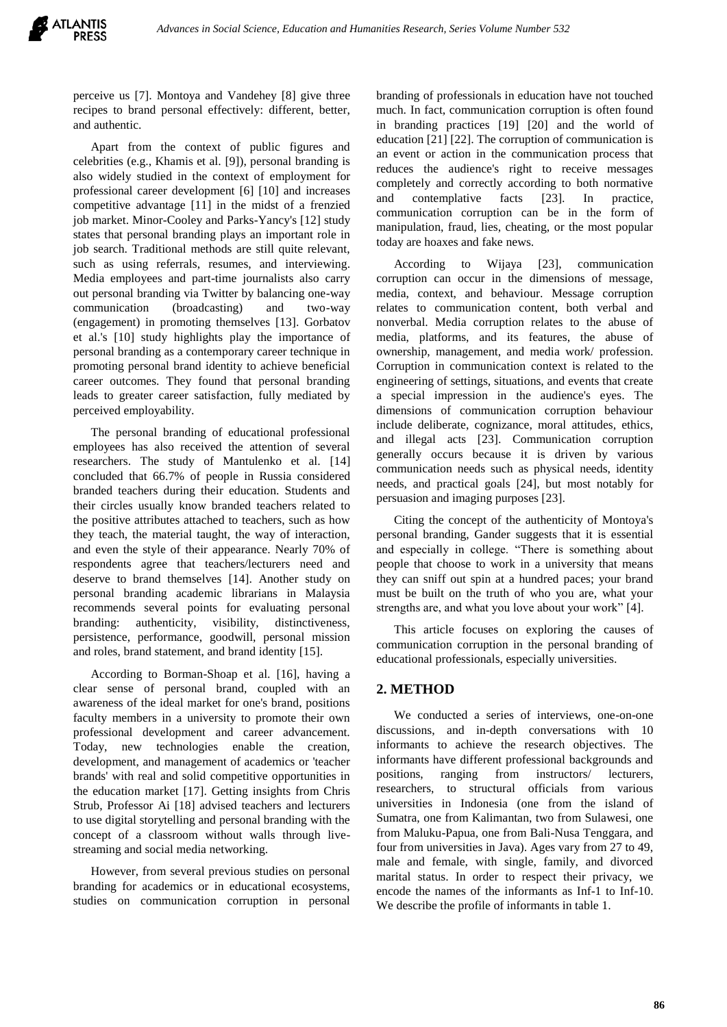perceive us [\[7\]](#page-4-6). Montoya and Vandehey [\[8\]](#page-4-7) give three recipes to brand personal effectively: different, better, and authentic.

Apart from the context of public figures and celebrities (e.g., Khamis et al. [\[9\]](#page-4-8)), personal branding is also widely studied in the context of employment for professional career development [\[6\]](#page-4-5) [\[10\]](#page-4-9) and increases competitive advantage [\[11\]](#page-4-10) in the midst of a frenzied job market. Minor-Cooley and Parks-Yancy's [\[12\]](#page-4-11) study states that personal branding plays an important role in job search. Traditional methods are still quite relevant, such as using referrals, resumes, and interviewing. Media employees and part-time journalists also carry out personal branding via Twitter by balancing one-way communication (broadcasting) and two-way (engagement) in promoting themselves [\[13\]](#page-4-12). Gorbatov et al.'s [\[10\]](#page-4-9) study highlights play the importance of personal branding as a contemporary career technique in promoting personal brand identity to achieve beneficial career outcomes. They found that personal branding leads to greater career satisfaction, fully mediated by perceived employability.

The personal branding of educational professional employees has also received the attention of several researchers. The study of Mantulenko et al. [\[14\]](#page-4-13) concluded that 66.7% of people in Russia considered branded teachers during their education. Students and their circles usually know branded teachers related to the positive attributes attached to teachers, such as how they teach, the material taught, the way of interaction, and even the style of their appearance. Nearly 70% of respondents agree that teachers/lecturers need and deserve to brand themselves [\[14\]](#page-4-13). Another study on personal branding academic librarians in Malaysia recommends several points for evaluating personal branding: authenticity, visibility, distinctiveness, persistence, performance, goodwill, personal mission and roles, brand statement, and brand identity [\[15\]](#page-5-0).

According to Borman-Shoap et al. [\[16\]](#page-5-1), having a clear sense of personal brand, coupled with an awareness of the ideal market for one's brand, positions faculty members in a university to promote their own professional development and career advancement. Today, new technologies enable the creation, development, and management of academics or 'teacher brands' with real and solid competitive opportunities in the education market [\[17\]](#page-5-2). Getting insights from Chris Strub, Professor Ai [\[18\]](#page-5-3) advised teachers and lecturers to use digital storytelling and personal branding with the concept of a classroom without walls through livestreaming and social media networking.

However, from several previous studies on personal branding for academics or in educational ecosystems, studies on communication corruption in personal branding of professionals in education have not touched much. In fact, communication corruption is often found in branding practices [\[19\]](#page-5-4) [\[20\]](#page-5-5) and the world of education [\[21\]](#page-5-6) [\[22\]](#page-5-7). The corruption of communication is an event or action in the communication process that reduces the audience's right to receive messages completely and correctly according to both normative and contemplative facts [\[23\]](#page-5-8). In practice, communication corruption can be in the form of manipulation, fraud, lies, cheating, or the most popular today are hoaxes and fake news.

According to Wijaya [\[23\]](#page-5-8), communication corruption can occur in the dimensions of message, media, context, and behaviour. Message corruption relates to communication content, both verbal and nonverbal. Media corruption relates to the abuse of media, platforms, and its features, the abuse of ownership, management, and media work/ profession. Corruption in communication context is related to the engineering of settings, situations, and events that create a special impression in the audience's eyes. The dimensions of communication corruption behaviour include deliberate, cognizance, moral attitudes, ethics, and illegal acts [\[23\]](#page-5-8). Communication corruption generally occurs because it is driven by various communication needs such as physical needs, identity needs, and practical goals [\[24\]](#page-5-9), but most notably for persuasion and imaging purposes [\[23\]](#page-5-8).

Citing the concept of the authenticity of Montoya's personal branding, Gander suggests that it is essential and especially in college. "There is something about people that choose to work in a university that means they can sniff out spin at a hundred paces; your brand must be built on the truth of who you are, what your strengths are, and what you love about your work" [\[4\]](#page-4-3).

This article focuses on exploring the causes of communication corruption in the personal branding of educational professionals, especially universities.

## **2. METHOD**

We conducted a series of interviews, one-on-one discussions, and in-depth conversations with 10 informants to achieve the research objectives. The informants have different professional backgrounds and positions, ranging from instructors/ lecturers, researchers, to structural officials from various universities in Indonesia (one from the island of Sumatra, one from Kalimantan, two from Sulawesi, one from Maluku-Papua, one from Bali-Nusa Tenggara, and four from universities in Java). Ages vary from 27 to 49, male and female, with single, family, and divorced marital status. In order to respect their privacy, we encode the names of the informants as Inf-1 to Inf-10. We describe the profile of informants in table 1.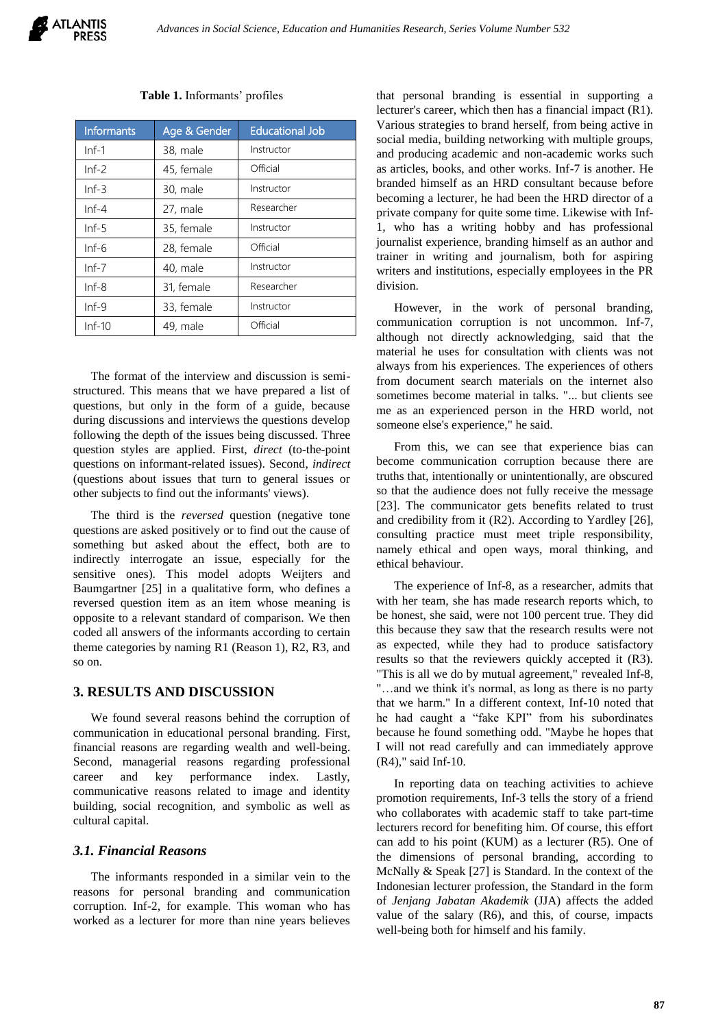#### **Table 1.** Informants' profiles

| <b>Informants</b> | Age & Gender           | <b>Educational Job</b> |  |
|-------------------|------------------------|------------------------|--|
| $Inf-1$           | 38, male               | Instructor             |  |
| $Inf-2$           | 45, female             | Official               |  |
| $Inf-3$           | 30, male               | Instructor             |  |
| $Inf-4$           | 27, male               | Researcher             |  |
| $Inf-5$           | 35, female             | Instructor             |  |
| $Inf-6$           | 28, female             | Official               |  |
| $Inf-7$           | Instructor<br>40, male |                        |  |
| $Inf - 8$         | 31, female             | Researcher             |  |
| $Inf-9$           | 33, female             | Instructor             |  |
| $Inf-10$          | 49, male               | Official               |  |

The format of the interview and discussion is semistructured. This means that we have prepared a list of questions, but only in the form of a guide, because during discussions and interviews the questions develop following the depth of the issues being discussed. Three question styles are applied. First, *direct* (to-the-point questions on informant-related issues). Second, *indirect* (questions about issues that turn to general issues or other subjects to find out the informants' views).

The third is the *reversed* question (negative tone questions are asked positively or to find out the cause of something but asked about the effect, both are to indirectly interrogate an issue, especially for the sensitive ones). This model adopts Weijters and Baumgartner [\[25\]](#page-5-10) in a qualitative form, who defines a reversed question item as an item whose meaning is opposite to a relevant standard of comparison. We then coded all answers of the informants according to certain theme categories by naming R1 (Reason 1), R2, R3, and so on.

#### **3. RESULTS AND DISCUSSION**

We found several reasons behind the corruption of communication in educational personal branding. First, financial reasons are regarding wealth and well-being. Second, managerial reasons regarding professional career and key performance index. Lastly, communicative reasons related to image and identity building, social recognition, and symbolic as well as cultural capital.

## *3.1. Financial Reasons*

The informants responded in a similar vein to the reasons for personal branding and communication corruption. Inf-2, for example. This woman who has worked as a lecturer for more than nine years believes

that personal branding is essential in supporting a lecturer's career, which then has a financial impact (R1). Various strategies to brand herself, from being active in social media, building networking with multiple groups, and producing academic and non-academic works such as articles, books, and other works. Inf-7 is another. He branded himself as an HRD consultant because before becoming a lecturer, he had been the HRD director of a private company for quite some time. Likewise with Inf-1, who has a writing hobby and has professional journalist experience, branding himself as an author and trainer in writing and journalism, both for aspiring writers and institutions, especially employees in the PR division.

However, in the work of personal branding, communication corruption is not uncommon. Inf-7, although not directly acknowledging, said that the material he uses for consultation with clients was not always from his experiences. The experiences of others from document search materials on the internet also sometimes become material in talks. "... but clients see me as an experienced person in the HRD world, not someone else's experience," he said.

From this, we can see that experience bias can become communication corruption because there are truths that, intentionally or unintentionally, are obscured so that the audience does not fully receive the message [\[23\]](#page-5-8). The communicator gets benefits related to trust and credibility from it (R2). According to Yardley [\[26\]](#page-5-11), consulting practice must meet triple responsibility, namely ethical and open ways, moral thinking, and ethical behaviour.

The experience of Inf-8, as a researcher, admits that with her team, she has made research reports which, to be honest, she said, were not 100 percent true. They did this because they saw that the research results were not as expected, while they had to produce satisfactory results so that the reviewers quickly accepted it (R3). "This is all we do by mutual agreement," revealed Inf-8, "…and we think it's normal, as long as there is no party that we harm." In a different context, Inf-10 noted that he had caught a "fake KPI" from his subordinates because he found something odd. "Maybe he hopes that I will not read carefully and can immediately approve (R4)," said Inf-10.

In reporting data on teaching activities to achieve promotion requirements, Inf-3 tells the story of a friend who collaborates with academic staff to take part-time lecturers record for benefiting him. Of course, this effort can add to his point (KUM) as a lecturer (R5). One of the dimensions of personal branding, according to McNally & Speak [\[27\]](#page-5-12) is Standard. In the context of the Indonesian lecturer profession, the Standard in the form of *Jenjang Jabatan Akademik* (JJA) affects the added value of the salary (R6), and this, of course, impacts well-being both for himself and his family.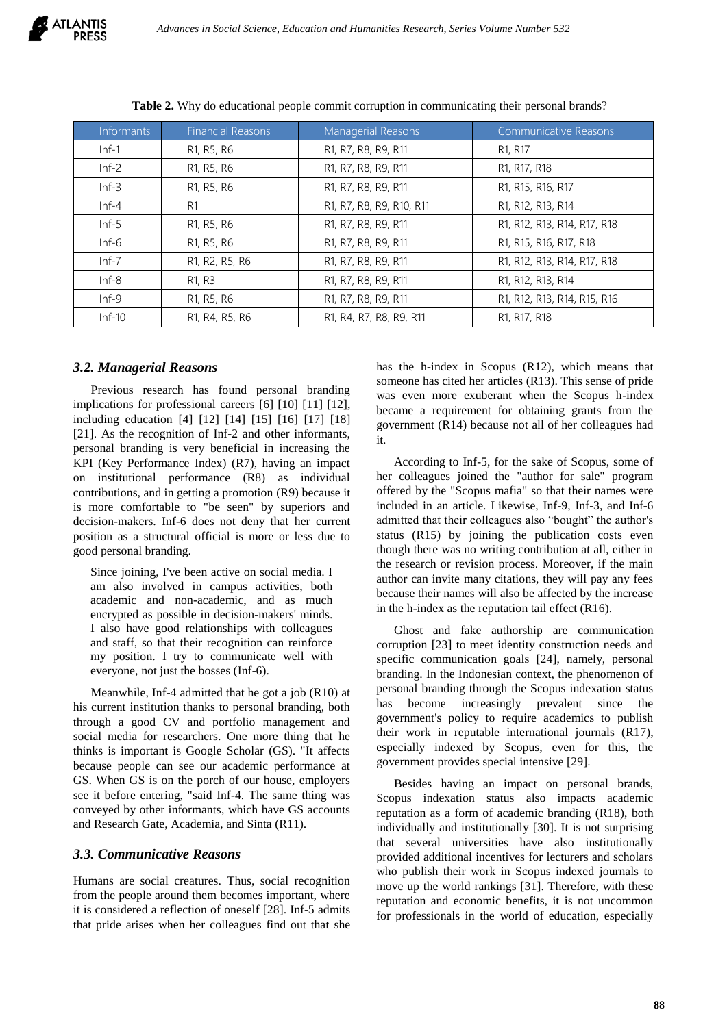| <b>Informants</b> | <b>Financial Reasons</b>                         | Managerial Reasons                                                                                    | <b>Communicative Reasons</b>                       |
|-------------------|--------------------------------------------------|-------------------------------------------------------------------------------------------------------|----------------------------------------------------|
| $Inf-1$           | R1, R5, R6                                       | R1, R7, R8, R9, R11                                                                                   | R <sub>1</sub> , R <sub>17</sub>                   |
| $Inf-2$           | R1, R5, R6                                       | R1, R7, R8, R9, R11                                                                                   | R1, R17, R18                                       |
| $Inf-3$           | R1, R5, R6                                       | R1, R7, R8, R9, R11                                                                                   | R1, R15, R16, R17                                  |
| $Inf-4$           | R <sub>1</sub>                                   | R <sub>1</sub> , R <sub>7</sub> , R <sub>8</sub> , R <sub>9</sub> , R <sub>10</sub> , R <sub>11</sub> | R1, R12, R13, R14                                  |
| $Inf-5$           | R <sub>1</sub> , R <sub>5</sub> , R <sub>6</sub> | R <sub>1</sub> , R <sub>7</sub> , R <sub>8</sub> , R <sub>9</sub> , R <sub>11</sub>                   | R1, R12, R13, R14, R17, R18                        |
| $Inf-6$           | R1, R5, R6                                       | R <sub>1</sub> , R <sub>7</sub> , R <sub>8</sub> , R <sub>9</sub> , R <sub>11</sub>                   | R1, R15, R16, R17, R18                             |
| $Inf-7$           | R1, R2, R5, R6                                   | R1, R7, R8, R9, R11                                                                                   | R1, R12, R13, R14, R17, R18                        |
| $Inf-8$           | R <sub>1</sub> , R <sub>3</sub>                  | R1, R7, R8, R9, R11                                                                                   | R1, R12, R13, R14                                  |
| $Inf-9$           | R1, R5, R6                                       | R1, R7, R8, R9, R11                                                                                   | R1, R12, R13, R14, R15, R16                        |
| $Inf-10$          | R1, R4, R5, R6                                   | R1, R4, R7, R8, R9, R11                                                                               | R <sub>1</sub> , R <sub>17</sub> , R <sub>18</sub> |

**Table 2.** Why do educational people commit corruption in communicating their personal brands?

#### *3.2. Managerial Reasons*

Previous research has found personal branding implications for professional careers [\[6\]](#page-4-5) [\[10\]](#page-4-9) [\[11\]](#page-4-10) [\[12\]](#page-4-11), including education [\[4\]](#page-4-3) [\[12\]](#page-4-11) [\[14\]](#page-4-13) [\[15\]](#page-5-0) [\[16\]](#page-5-1) [\[17\]](#page-5-2) [\[18\]](#page-5-3) [\[21\]](#page-5-6). As the recognition of Inf-2 and other informants, personal branding is very beneficial in increasing the KPI (Key Performance Index) (R7), having an impact on institutional performance (R8) as individual contributions, and in getting a promotion (R9) because it is more comfortable to "be seen" by superiors and decision-makers. Inf-6 does not deny that her current position as a structural official is more or less due to good personal branding.

Since joining, I've been active on social media. I am also involved in campus activities, both academic and non-academic, and as much encrypted as possible in decision-makers' minds. I also have good relationships with colleagues and staff, so that their recognition can reinforce my position. I try to communicate well with everyone, not just the bosses (Inf-6).

Meanwhile, Inf-4 admitted that he got a job (R10) at his current institution thanks to personal branding, both through a good CV and portfolio management and social media for researchers. One more thing that he thinks is important is Google Scholar (GS). "It affects because people can see our academic performance at GS. When GS is on the porch of our house, employers see it before entering, "said Inf-4. The same thing was conveyed by other informants, which have GS accounts and Research Gate, Academia, and Sinta (R11).

## *3.3. Communicative Reasons*

Humans are social creatures. Thus, social recognition from the people around them becomes important, where it is considered a reflection of oneself [\[28\]](#page-5-13). Inf-5 admits that pride arises when her colleagues find out that she

has the h-index in Scopus (R12), which means that someone has cited her articles (R13). This sense of pride was even more exuberant when the Scopus h-index became a requirement for obtaining grants from the government (R14) because not all of her colleagues had it.

According to Inf-5, for the sake of Scopus, some of her colleagues joined the "author for sale" program offered by the "Scopus mafia" so that their names were included in an article. Likewise, Inf-9, Inf-3, and Inf-6 admitted that their colleagues also "bought" the author's status (R15) by joining the publication costs even though there was no writing contribution at all, either in the research or revision process. Moreover, if the main author can invite many citations, they will pay any fees because their names will also be affected by the increase in the h-index as the reputation tail effect (R16).

Ghost and fake authorship are communication corruption [\[23\]](#page-5-8) to meet identity construction needs and specific communication goals [\[24\]](#page-5-9), namely, personal branding. In the Indonesian context, the phenomenon of personal branding through the Scopus indexation status has become increasingly prevalent since the government's policy to require academics to publish their work in reputable international journals (R17), especially indexed by Scopus, even for this, the government provides special intensive [\[29\]](#page-5-14).

Besides having an impact on personal brands, Scopus indexation status also impacts academic reputation as a form of academic branding (R18), both individually and institutionally [\[30\]](#page-5-15). It is not surprising that several universities have also institutionally provided additional incentives for lecturers and scholars who publish their work in Scopus indexed journals to move up the world rankings [\[31\]](#page-5-16). Therefore, with these reputation and economic benefits, it is not uncommon for professionals in the world of education, especially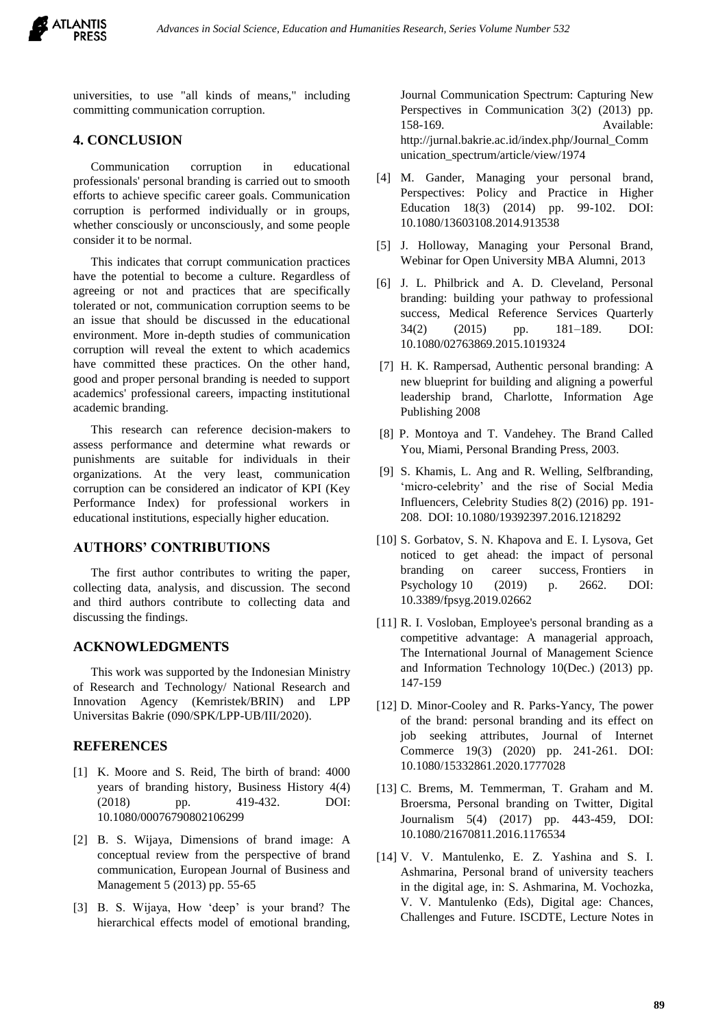

universities, to use "all kinds of means," including committing communication corruption.

## **4. CONCLUSION**

Communication corruption in educational professionals' personal branding is carried out to smooth efforts to achieve specific career goals. Communication corruption is performed individually or in groups, whether consciously or unconsciously, and some people consider it to be normal.

This indicates that corrupt communication practices have the potential to become a culture. Regardless of agreeing or not and practices that are specifically tolerated or not, communication corruption seems to be an issue that should be discussed in the educational environment. More in-depth studies of communication corruption will reveal the extent to which academics have committed these practices. On the other hand, good and proper personal branding is needed to support academics' professional careers, impacting institutional academic branding.

This research can reference decision-makers to assess performance and determine what rewards or punishments are suitable for individuals in their organizations. At the very least, communication corruption can be considered an indicator of KPI (Key Performance Index) for professional workers in educational institutions, especially higher education.

#### **AUTHORS' CONTRIBUTIONS**

The first author contributes to writing the paper, collecting data, analysis, and discussion. The second and third authors contribute to collecting data and discussing the findings.

#### **ACKNOWLEDGMENTS**

This work was supported by the Indonesian Ministry of Research and Technology/ National Research and Innovation Agency (Kemristek/BRIN) and LPP Universitas Bakrie (090/SPK/LPP-UB/III/2020).

#### **REFERENCES**

- <span id="page-4-0"></span>[1] K. Moore and S. Reid, The birth of brand: 4000 years of branding history, Business History 4(4) (2018) pp. 419-432. DOI: 10.1080/00076790802106299
- <span id="page-4-1"></span>[2] B. S. Wijaya, Dimensions of brand image: A conceptual review from the perspective of brand communication, European Journal of Business and Management 5 (2013) pp. 55-65
- <span id="page-4-2"></span>[3] B. S. Wijaya, How 'deep' is your brand? The hierarchical effects model of emotional branding,

Journal Communication Spectrum: Capturing New Perspectives in Communication 3(2) (2013) pp. 158-169. Available: http://jurnal.bakrie.ac.id/index.php/Journal\_Comm unication\_spectrum/article/view/1974

- <span id="page-4-3"></span>[4] M. Gander, Managing your personal brand, Perspectives: Policy and Practice in Higher Education 18(3) (2014) pp. 99-102. DOI: 10.1080/13603108.2014.913538
- <span id="page-4-4"></span>[5] J. Holloway, Managing your Personal Brand, Webinar for Open University MBA Alumni, 2013
- <span id="page-4-5"></span>[6] J. L. Philbrick and A. D. Cleveland, Personal branding: building your pathway to professional success, Medical Reference Services Quarterly 34(2) (2015) pp. 181–189. DOI: 10.1080/02763869.2015.1019324
- <span id="page-4-6"></span>[7] H. K. Rampersad, Authentic personal branding: A new blueprint for building and aligning a powerful leadership brand, Charlotte, Information Age Publishing 2008
- <span id="page-4-7"></span>[8] P. Montoya and T. Vandehey. The Brand Called You, Miami, Personal Branding Press, 2003.
- <span id="page-4-8"></span>[9] S. Khamis, L. Ang and R. Welling, Selfbranding, 'micro-celebrity' and the rise of Social Media Influencers, Celebrity Studies 8(2) (2016) pp. 191- 208. DOI: 10.1080/19392397.2016.1218292
- <span id="page-4-9"></span>[10] S. Gorbatov, S. N. Khapova and E. I. Lysova, Get noticed to get ahead: the impact of personal branding on career success, Frontiers in Psychology 10 (2019) p. 2662. DOI: 10.3389/fpsyg.2019.02662
- <span id="page-4-10"></span>[11] R. I. Vosloban, Employee's personal branding as a competitive advantage: A managerial approach, The International Journal of Management Science and Information Technology 10(Dec.) (2013) pp. 147-159
- <span id="page-4-11"></span>[12] D. Minor-Cooley and R. Parks-Yancy, The power of the brand: personal branding and its effect on job seeking attributes, Journal of Internet Commerce 19(3) (2020) pp. 241-261. DOI: 10.1080/15332861.2020.1777028
- <span id="page-4-12"></span>[13] C. Brems, M. Temmerman, T. Graham and M. Broersma, Personal branding on Twitter, Digital Journalism 5(4) (2017) pp. 443-459, DOI: 10.1080/21670811.2016.1176534
- <span id="page-4-13"></span>[14] V. V. Mantulenko, E. Z. Yashina and S. I. Ashmarina, Personal brand of university teachers in the digital age, in: S. Ashmarina, M. Vochozka, V. V. Mantulenko (Eds), Digital age: Chances, Challenges and Future. ISCDTE, Lecture Notes in